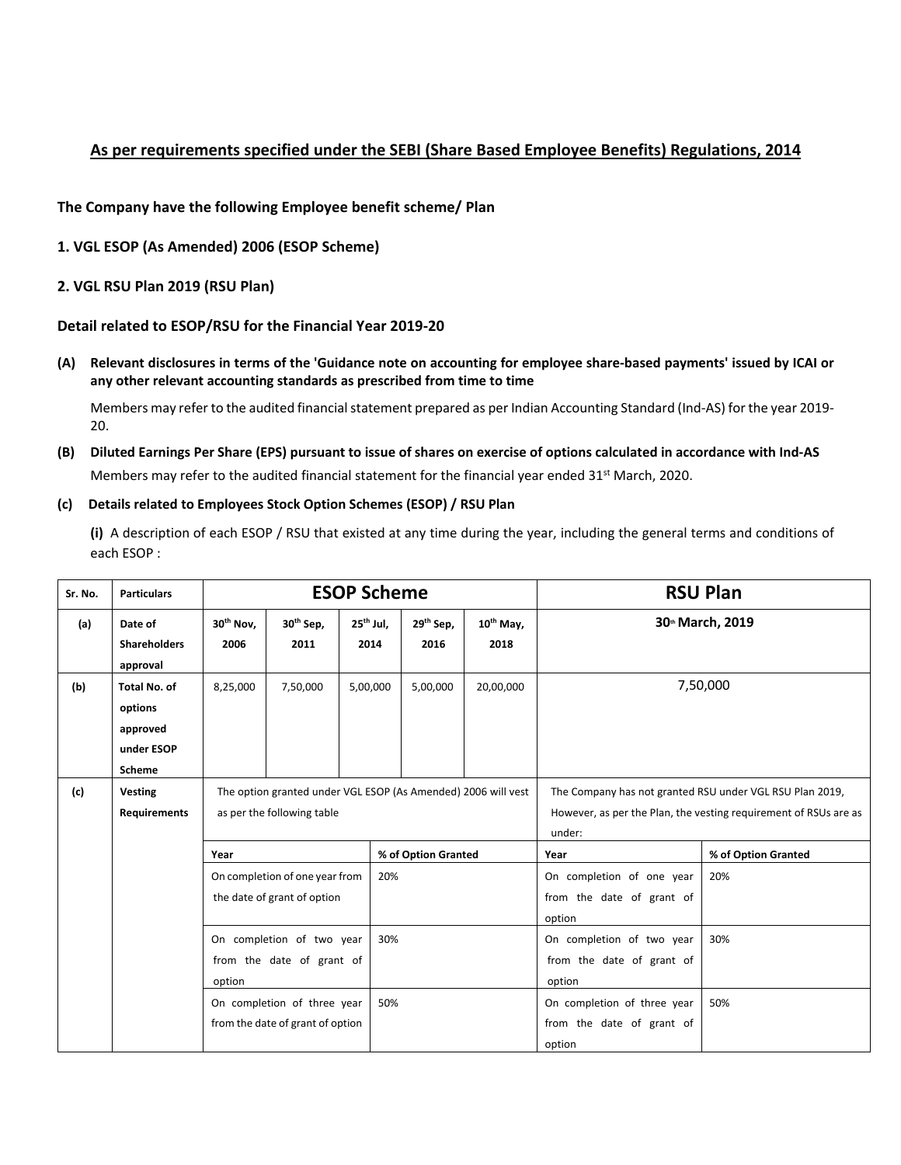# **As per requirements specified under the SEBI (Share Based Employee Benefits) Regulations, 2014**

**The Company have the following Employee benefit scheme/ Plan**

**1. VGL ESOP (As Amended) 2006 (ESOP Scheme)**

# **2. VGL RSU Plan 2019 (RSU Plan)**

# **Detail related to ESOP/RSU for the Financial Year 2019‐20**

(A) Relevant disclosures in terms of the 'Guidance note on accounting for employee share-based payments' issued by ICAI or **any other relevant accounting standards as prescribed from time to time**

Members may refer to the audited financial statement prepared as per Indian Accounting Standard (Ind-AS) for the year 2019-20.

(B) Diluted Earnings Per Share (EPS) pursuant to issue of shares on exercise of options calculated in accordance with Ind-AS Members may refer to the audited financial statement for the financial year ended 31<sup>st</sup> March, 2020.

#### **(c) Details related to Employees Stock Option Schemes (ESOP) / RSU Plan**

**(i)** A description of each ESOP / RSU that existed at any time during the year, including the general terms and conditions of each ESOP :

| Sr. No. | <b>Particulars</b>                                                 | <b>ESOP Scheme</b>            |                                  |                     |                                                               |                               | <b>RSU Plan</b>               |                                                                                                                                        |                     |  |
|---------|--------------------------------------------------------------------|-------------------------------|----------------------------------|---------------------|---------------------------------------------------------------|-------------------------------|-------------------------------|----------------------------------------------------------------------------------------------------------------------------------------|---------------------|--|
| (a)     | Date of<br><b>Shareholders</b><br>approval                         | 30 <sup>th</sup> Nov,<br>2006 | 30 <sup>th</sup> Sep,<br>2011    | $25th$ Jul,<br>2014 |                                                               | 29 <sup>th</sup> Sep,<br>2016 | 10 <sup>th</sup> May,<br>2018 |                                                                                                                                        | 30th March, 2019    |  |
| (b)     | <b>Total No. of</b><br>options<br>approved<br>under ESOP<br>Scheme | 8,25,000                      | 7,50,000                         | 5,00,000            |                                                               | 5,00,000                      | 20,00,000                     |                                                                                                                                        | 7,50,000            |  |
| (c)     | <b>Vesting</b><br><b>Requirements</b>                              |                               | as per the following table       |                     | The option granted under VGL ESOP (As Amended) 2006 will vest |                               |                               | The Company has not granted RSU under VGL RSU Plan 2019,<br>However, as per the Plan, the vesting requirement of RSUs are as<br>under: |                     |  |
|         |                                                                    | Year                          |                                  |                     | % of Option Granted                                           |                               |                               | Year                                                                                                                                   | % of Option Granted |  |
|         |                                                                    |                               | On completion of one year from   |                     | 20%                                                           |                               |                               | On completion of one year                                                                                                              | 20%                 |  |
|         |                                                                    |                               | the date of grant of option      |                     |                                                               |                               |                               | from the date of grant of                                                                                                              |                     |  |
|         |                                                                    |                               |                                  |                     | option                                                        |                               |                               |                                                                                                                                        |                     |  |
|         | On completion of two year<br>from the date of grant of             |                               |                                  | 30%                 |                                                               |                               | On completion of two year     | 30%                                                                                                                                    |                     |  |
|         |                                                                    |                               |                                  |                     |                                                               | from the date of grant of     |                               |                                                                                                                                        |                     |  |
|         |                                                                    | option                        |                                  |                     |                                                               |                               |                               | option                                                                                                                                 |                     |  |
|         |                                                                    |                               | On completion of three year      |                     | 50%                                                           |                               |                               | On completion of three year                                                                                                            | 50%                 |  |
|         |                                                                    |                               | from the date of grant of option |                     |                                                               |                               |                               | from the date of grant of                                                                                                              |                     |  |
|         |                                                                    |                               |                                  |                     |                                                               |                               |                               | option                                                                                                                                 |                     |  |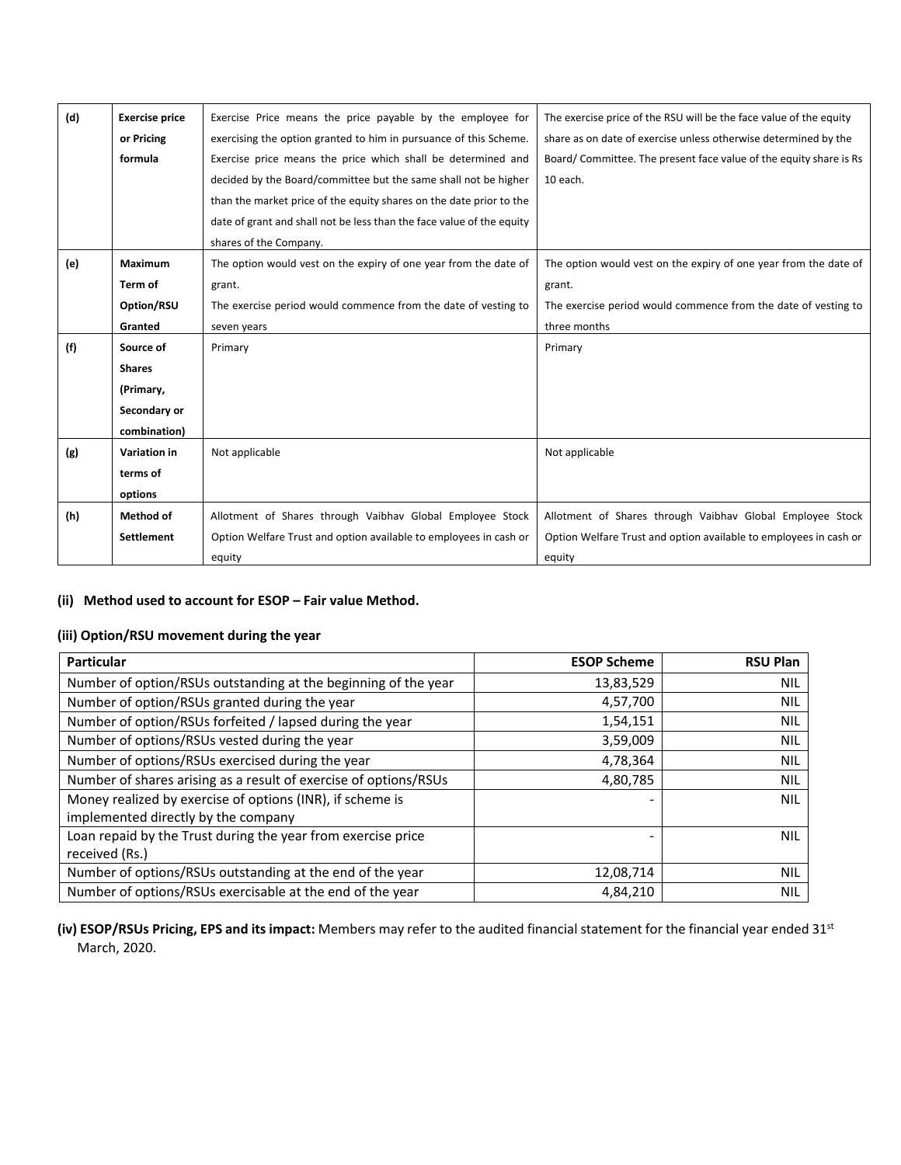| (d) | <b>Exercise price</b> | Exercise Price means the price payable by the employee for            | The exercise price of the RSU will be the face value of the equity |
|-----|-----------------------|-----------------------------------------------------------------------|--------------------------------------------------------------------|
|     | or Pricing            | exercising the option granted to him in pursuance of this Scheme.     | share as on date of exercise unless otherwise determined by the    |
|     | formula               | Exercise price means the price which shall be determined and          | Board/Committee. The present face value of the equity share is Rs  |
|     |                       | decided by the Board/committee but the same shall not be higher       | 10 each.                                                           |
|     |                       | than the market price of the equity shares on the date prior to the   |                                                                    |
|     |                       | date of grant and shall not be less than the face value of the equity |                                                                    |
|     |                       | shares of the Company.                                                |                                                                    |
| (e) | <b>Maximum</b>        | The option would vest on the expiry of one year from the date of      | The option would vest on the expiry of one year from the date of   |
|     | Term of               | grant.                                                                | grant.                                                             |
|     | Option/RSU            | The exercise period would commence from the date of vesting to        | The exercise period would commence from the date of vesting to     |
|     | Granted               | seven years                                                           | three months                                                       |
| (f) | Source of             | Primary                                                               | Primary                                                            |
|     | <b>Shares</b>         |                                                                       |                                                                    |
|     | (Primary,             |                                                                       |                                                                    |
|     | Secondary or          |                                                                       |                                                                    |
|     | combination)          |                                                                       |                                                                    |
| (g) | Variation in          | Not applicable                                                        | Not applicable                                                     |
|     | terms of              |                                                                       |                                                                    |
|     | options               |                                                                       |                                                                    |
| (h) | Method of             | Allotment of Shares through Vaibhay Global Employee Stock             | Allotment of Shares through Vaibhay Global Employee Stock          |
|     | <b>Settlement</b>     | Option Welfare Trust and option available to employees in cash or     | Option Welfare Trust and option available to employees in cash or  |
|     |                       | equity                                                                | equity                                                             |

### **(ii) Method used to account for ESOP – Fair value Method.**

# **(iii) Option/RSU movement during the year**

| Particular                                                       | <b>ESOP Scheme</b> | <b>RSU Plan</b> |
|------------------------------------------------------------------|--------------------|-----------------|
| Number of option/RSUs outstanding at the beginning of the year   | 13,83,529          | <b>NIL</b>      |
| Number of option/RSUs granted during the year                    | 4,57,700           | <b>NIL</b>      |
| Number of option/RSUs forfeited / lapsed during the year         | 1,54,151           | <b>NIL</b>      |
| Number of options/RSUs vested during the year                    | 3,59,009           | <b>NIL</b>      |
| Number of options/RSUs exercised during the year                 | 4,78,364           | <b>NIL</b>      |
| Number of shares arising as a result of exercise of options/RSUs | 4,80,785           | <b>NIL</b>      |
| Money realized by exercise of options (INR), if scheme is        |                    | <b>NIL</b>      |
| implemented directly by the company                              |                    |                 |
| Loan repaid by the Trust during the year from exercise price     |                    | <b>NIL</b>      |
| received (Rs.)                                                   |                    |                 |
| Number of options/RSUs outstanding at the end of the year        | 12,08,714          | <b>NIL</b>      |
| Number of options/RSUs exercisable at the end of the year        | 4,84,210           | NIL             |

**(iv) ESOP/RSUs Pricing, EPS and its impact:** Members may refer to the audited financial statement for the financial year ended 31st March, 2020.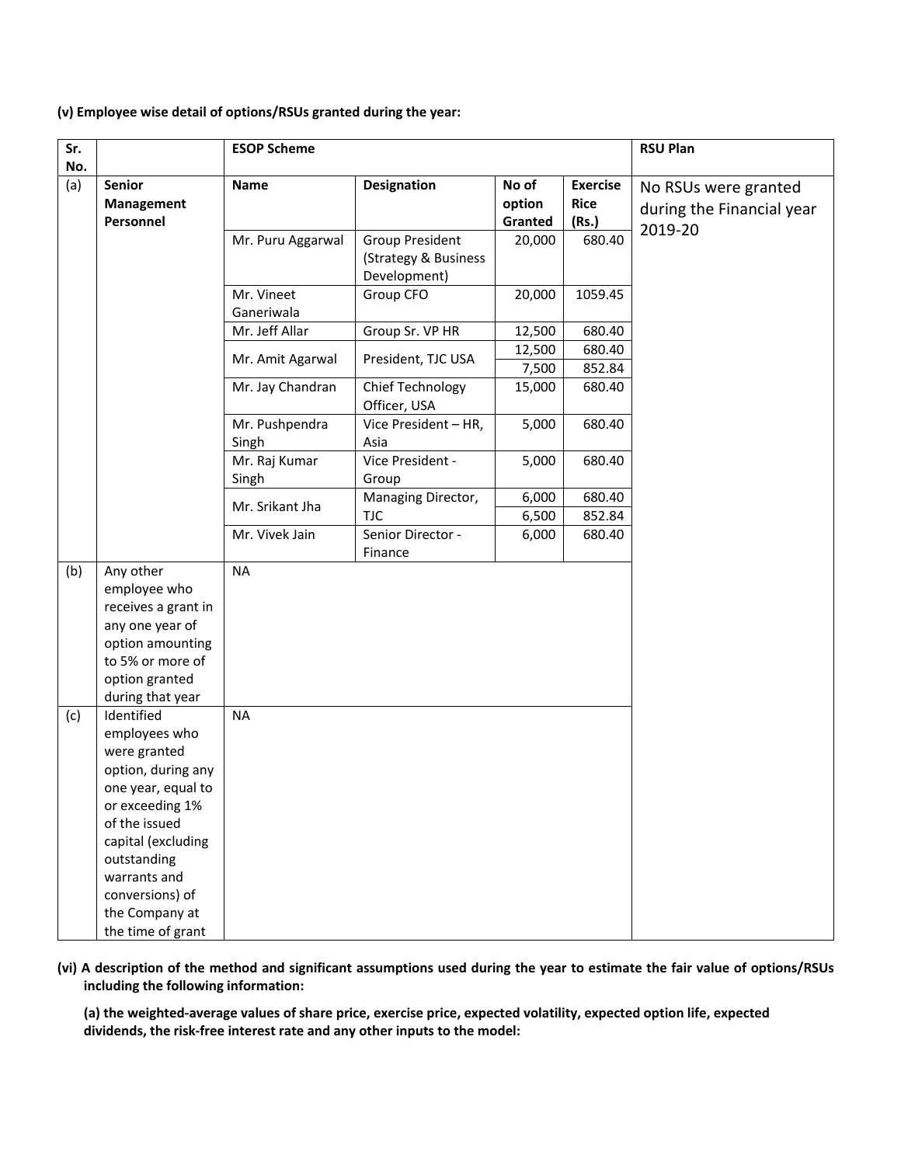#### **(v) Employee wise detail of options/RSUs granted during the year:**

| Sr.<br>No. |                                   | <b>ESOP Scheme</b>      |                                                                |                            |                                         | <b>RSU Plan</b>                                   |
|------------|-----------------------------------|-------------------------|----------------------------------------------------------------|----------------------------|-----------------------------------------|---------------------------------------------------|
| (a)        | Senior<br>Management<br>Personnel | Name                    | <b>Designation</b>                                             | No of<br>option<br>Granted | <b>Exercise</b><br><b>Rice</b><br>(Rs.) | No RSUs were granted<br>during the Financial year |
|            |                                   | Mr. Puru Aggarwal       | <b>Group President</b><br>(Strategy & Business<br>Development) | 20,000                     | 680.40                                  | 2019-20                                           |
|            |                                   | Mr. Vineet              | Group CFO                                                      | 20,000                     | 1059.45                                 |                                                   |
|            |                                   | Ganeriwala              |                                                                |                            |                                         |                                                   |
|            |                                   | Mr. Jeff Allar          | Group Sr. VP HR                                                | 12,500                     | 680.40                                  |                                                   |
|            |                                   |                         |                                                                | 12,500                     | 680.40                                  |                                                   |
|            |                                   | Mr. Amit Agarwal        | President, TJC USA                                             | 7,500                      | 852.84                                  |                                                   |
|            |                                   | Mr. Jay Chandran        | Chief Technology<br>Officer, USA                               | 15,000                     | 680.40                                  |                                                   |
|            |                                   | Mr. Pushpendra<br>Singh | Vice President - HR,<br>Asia                                   | 5,000                      | 680.40                                  |                                                   |
|            |                                   | Mr. Raj Kumar<br>Singh  | Vice President -<br>Group                                      | 5,000                      | 680.40                                  |                                                   |
|            |                                   |                         | Managing Director,                                             | 6,000                      | 680.40                                  |                                                   |
|            |                                   | Mr. Srikant Jha         | <b>TJC</b>                                                     | 6,500                      | 852.84                                  |                                                   |
|            |                                   | Mr. Vivek Jain          | Senior Director -                                              | 6,000                      | 680.40                                  |                                                   |
|            |                                   |                         | Finance                                                        |                            |                                         |                                                   |
| (b)        | Any other                         | <b>NA</b>               |                                                                |                            |                                         |                                                   |
|            | employee who                      |                         |                                                                |                            |                                         |                                                   |
|            | receives a grant in               |                         |                                                                |                            |                                         |                                                   |
|            | any one year of                   |                         |                                                                |                            |                                         |                                                   |
|            | option amounting                  |                         |                                                                |                            |                                         |                                                   |
|            | to 5% or more of                  |                         |                                                                |                            |                                         |                                                   |
|            | option granted                    |                         |                                                                |                            |                                         |                                                   |
|            | during that year<br>Identified    | <b>NA</b>               |                                                                |                            |                                         |                                                   |
| (c)        | employees who                     |                         |                                                                |                            |                                         |                                                   |
|            | were granted                      |                         |                                                                |                            |                                         |                                                   |
|            | option, during any                |                         |                                                                |                            |                                         |                                                   |
|            | one year, equal to                |                         |                                                                |                            |                                         |                                                   |
|            | or exceeding 1%                   |                         |                                                                |                            |                                         |                                                   |
|            | of the issued                     |                         |                                                                |                            |                                         |                                                   |
|            | capital (excluding                |                         |                                                                |                            |                                         |                                                   |
|            | outstanding                       |                         |                                                                |                            |                                         |                                                   |
|            | warrants and                      |                         |                                                                |                            |                                         |                                                   |
|            | conversions) of                   |                         |                                                                |                            |                                         |                                                   |
|            | the Company at                    |                         |                                                                |                            |                                         |                                                   |
|            | the time of grant                 |                         |                                                                |                            |                                         |                                                   |

(vi) A description of the method and significant assumptions used during the year to estimate the fair value of options/RSUs **including the following information:** 

(a) the weighted-average values of share price, exercise price, expected volatility, expected option life, expected **dividends, the risk‐free interest rate and any other inputs to the model:**